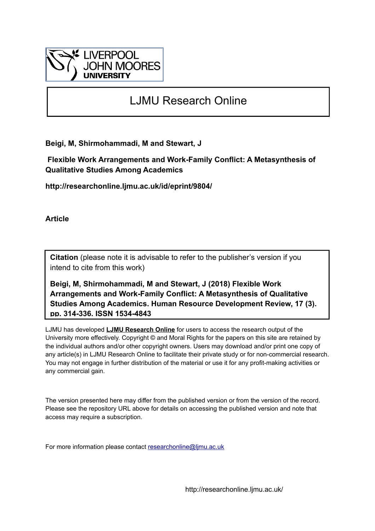

# LJMU Research Online

**Beigi, M, Shirmohammadi, M and Stewart, J**

 **Flexible Work Arrangements and Work-Family Conflict: A Metasynthesis of Qualitative Studies Among Academics**

**http://researchonline.ljmu.ac.uk/id/eprint/9804/**

**Article**

**Citation** (please note it is advisable to refer to the publisher's version if you intend to cite from this work)

**Beigi, M, Shirmohammadi, M and Stewart, J (2018) Flexible Work Arrangements and Work-Family Conflict: A Metasynthesis of Qualitative Studies Among Academics. Human Resource Development Review, 17 (3). pp. 314-336. ISSN 1534-4843** 

LJMU has developed **[LJMU Research Online](http://researchonline.ljmu.ac.uk/)** for users to access the research output of the University more effectively. Copyright © and Moral Rights for the papers on this site are retained by the individual authors and/or other copyright owners. Users may download and/or print one copy of any article(s) in LJMU Research Online to facilitate their private study or for non-commercial research. You may not engage in further distribution of the material or use it for any profit-making activities or any commercial gain.

The version presented here may differ from the published version or from the version of the record. Please see the repository URL above for details on accessing the published version and note that access may require a subscription.

For more information please contact [researchonline@ljmu.ac.uk](mailto:researchonline@ljmu.ac.uk)

http://researchonline.ljmu.ac.uk/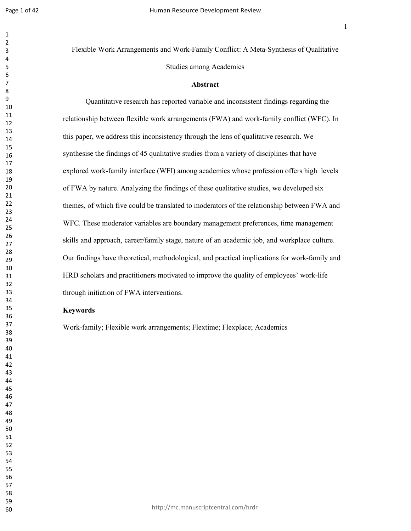Page 1 of 42

Flexible Work Arrangements and Work-Family Conflict: A Meta-Synthesis of Qualitative Studies among Academics

#### **Abstract**

Quantitative research has reported variable and inconsistent findings regarding the relationship between flexible work arrangements (FWA) and work-family conflict (WFC). In this paper, we address this inconsistency through the lens of qualitative research. We synthesise the findings of 45 qualitative studies from a variety of disciplines that have explored work-family interface (WFI) among academics whose profession offers high levels of FWA by nature. Analyzing the findings of these qualitative studies, we developed six themes, of which five could be translated to moderators of the relationship between FWA and WFC. These moderator variables are boundary management preferences, time management skills and approach, career/family stage, nature of an academic job, and workplace culture. Our findings have theoretical, methodological, and practical implications for work-family and HRD scholars and practitioners motivated to improve the quality of employees' work-life through initiation of FWA interventions.

#### **Keywords**

Work-family; Flexible work arrangements; Flextime; Flexplace; Academics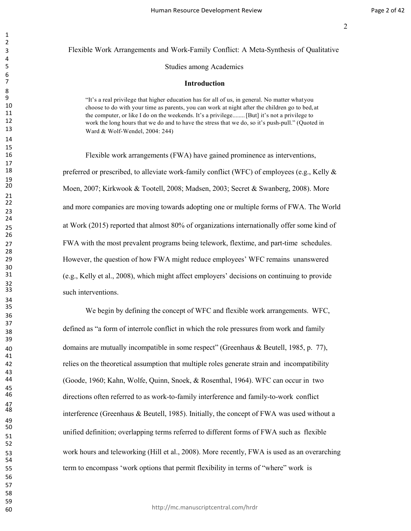# Flexible Work Arrangements and Work-Family Conflict: A Meta-Synthesis of Qualitative Studies among Academics

#### **Introduction**

9 "It's a real privilege that higher education has for all of us, in general. No matter what you<br>10 choose to do with your time as parents, you can work at night after the children go to bed 10 choose to do with your time as parents, you can work at night after the children go to bed, at 11 and at 11 and at 11 and at 11 and 12 and 13 and 13 and 13 and 13 and 13 and 13 and 13 and 13 and 13 and 13 and 13 and 13 11 the computer, or like I do on the weekends. It's a privilege........ [But] it's not a privilege to<br>12 work the long bours that we do and to have the stress that we do, so it's push pull." (Quote 12 work the long hours that we do and to have the stress that we do, so it's push-pull." (Quoted in  $\frac{13}{13}$ Ward & Wolf-Wendel, 2004: 244)

 Flexible work arrangements (FWA) have gained prominence as interventions, 18 preferred or prescribed, to alleviate work-family conflict (WFC) of employees (e.g., Kelly  $\&$  Moen, 2007; Kirkwook & Tootell, 2008; Madsen, 2003; Secret & Swanberg, 2008). More and more companies are moving towards adopting one or multiple forms of FWA. The World at Work (2015) reported that almost 80% of organizations internationally offer some kind of FWA with the most prevalent programs being telework, flextime, and part-time schedules. However, the question of how FWA might reduce employees' WFC remains unanswered (e.g., Kelly et al., 2008), which might affect employers' decisions on continuing to provide such interventions.

 We begin by defining the concept of WFC and flexible work arrangements. WFC, defined as "a form of interrole conflict in which the role pressures from work and family domains are mutually incompatible in some respect" (Greenhaus & Beutell, 1985, p. 77), relies on the theoretical assumption that multiple roles generate strain and incompatibility (Goode, 1960; Kahn, Wolfe, Quinn, Snoek, & Rosenthal, 1964). WFC can occur in two directions often referred to as work-to-family interference and family-to-work conflict interference (Greenhaus & Beutell, 1985). Initially, the concept of FWA was used without a unified definition; overlapping terms referred to different forms of FWA such as flexible work hours and teleworking (Hill et al., 2008). More recently, FWA is used as an overarching term to encompass 'work options that permit flexibility in terms of "where" work is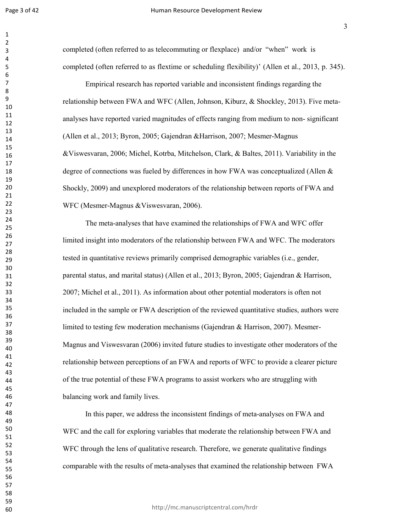completed (often referred to as telecommuting or flexplace) and/or "when" work is completed (often referred to as flextime or scheduling flexibility)' (Allen et al., 2013, p. 345).

Empirical research has reported variable and inconsistent findings regarding the relationship between FWA and WFC (Allen, Johnson, Kiburz, & Shockley, 2013). Five metaanalyses have reported varied magnitudes of effects ranging from medium to non- significant (Allen et al., 2013; Byron, 2005; Gajendran &Harrison, 2007; Mesmer-Magnus &Viswesvaran, 2006; Michel, Kotrba, Mitchelson, Clark, & Baltes, 2011). Variability in the degree of connections was fueled by differences in how FWA was conceptualized (Allen & Shockly, 2009) and unexplored moderators of the relationship between reports of FWA and WFC (Mesmer-Magnus &Viswesvaran, 2006).

The meta-analyses that have examined the relationships of FWA and WFC offer limited insight into moderators of the relationship between FWA and WFC. The moderators tested in quantitative reviews primarily comprised demographic variables (i.e., gender, parental status, and marital status) (Allen et al., 2013; Byron, 2005; Gajendran & Harrison, 2007; Michel et al., 2011). As information about other potential moderators is often not included in the sample or FWA description of the reviewed quantitative studies, authors were limited to testing few moderation mechanisms (Gajendran & Harrison, 2007). Mesmer-Magnus and Viswesvaran (2006) invited future studies to investigate other moderators of the relationship between perceptions of an FWA and reports of WFC to provide a clearer picture of the true potential of these FWA programs to assist workers who are struggling with balancing work and family lives.

In this paper, we address the inconsistent findings of meta-analyses on FWA and WFC and the call for exploring variables that moderate the relationship between FWA and WFC through the lens of qualitative research. Therefore, we generate qualitative findings comparable with the results of meta-analyses that examined the relationship between FWA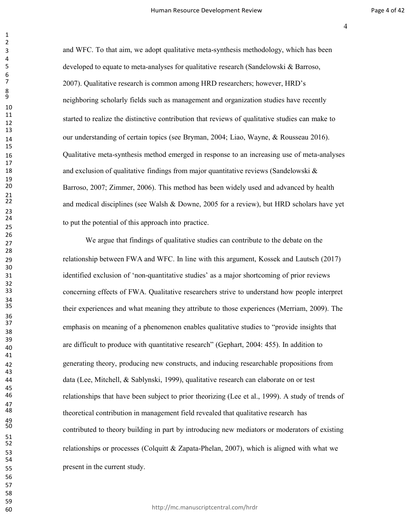and WFC. To that aim, we adopt qualitative meta-synthesis methodology, which has been developed to equate to meta-analyses for qualitative research (Sandelowski & Barroso, 2007). Qualitative research is common among HRD researchers; however, HRD's neighboring scholarly fields such as management and organization studies have recently started to realize the distinctive contribution that reviews of qualitative studies can make to our understanding of certain topics (see Bryman, 2004; Liao, Wayne, & Rousseau 2016). Qualitative meta-synthesis method emerged in response to an increasing use of meta-analyses 18 and exclusion of qualitative findings from major quantitative reviews (Sandelowski & Barroso, 2007; Zimmer, 2006). This method has been widely used and advanced by health and medical disciplines (see Walsh  $&$  Downe, 2005 for a review), but HRD scholars have yet to put the potential of this approach into practice.

We argue that findings of qualitative studies can contribute to the debate on the relationship between FWA and WFC. In line with this argument, Kossek and Lautsch (2017) identified exclusion of 'non-quantitative studies' as a major shortcoming of prior reviews concerning effects of FWA. Qualitative researchers strive to understand how people interpret their experiences and what meaning they attribute to those experiences (Merriam, 2009). The emphasis on meaning of <sup>a</sup> phenomenon enables qualitative studies to "provide insights that are difficult to produce with quantitative research" (Gephart, 2004: 455). In addition to generating theory, producing new constructs, and inducing researchable propositions from data (Lee, Mitchell, & Sablynski, 1999), qualitative research can elaborate on or test relationships that have been subject to prior theorizing (Lee et al., 1999). A study of trends of theoretical contribution in management field revealed that qualitative research has contributed to theory building in part by introducing new mediators or moderators of existing relationships or processes (Colquitt & Zapata-Phelan, 2007), which is aligned with what we present in the current study.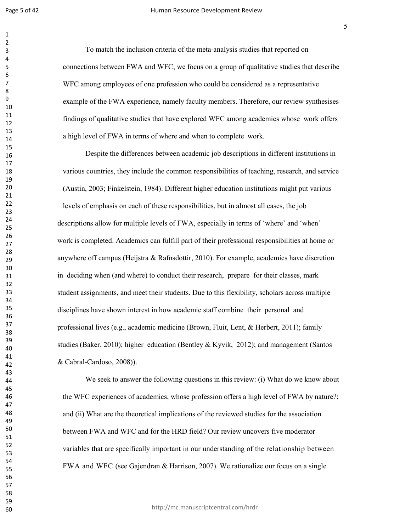To match the inclusion criteria of the meta-analysis studies that reported on connections between FWA and WFC, we focus on a group of qualitative studies that describe WFC among employees of one profession who could be considered as a representative example of the FWA experience, namely faculty members. Therefore, our review synthesises findings of qualitative studies that have explored WFC among academics whose work offers a high level of FWA in terms of where and when to complete work.

Despite the differences between academic job descriptions in different institutions in various countries, they include the common responsibilities of teaching, research, and service (Austin, 2003; Finkelstein, 1984). Different higher education institutions might put various levels of emphasis on each of these responsibilities, but in almost all cases, the job descriptions allow for multiple levels of FWA, especially in terms of 'where' and 'when' work is completed. Academics can fulfill part of their professional responsibilities at home or anywhere off campus (Heijstra & Rafnsdottir, 2010). For example, academics have discretion in deciding when (and where) to conduct their research, prepare for their classes, mark student assignments, and meet their students. Due to this flexibility, scholars across multiple disciplines have shown interest in how academic staff combine their personal and professional lives (e.g., academic medicine (Brown, Fluit, Lent, & Herbert, 2011); family studies (Baker, 2010); higher education (Bentley & Kyvik, 2012); and management (Santos & Cabral-Cardoso, 2008)).

We seek to answer the following questions in this review: (i) What do we know about the WFC experiences of academics, whose profession offers a high level of FWA by nature?; and (ii) What are the theoretical implications of the reviewed studies for the association between FWA and WFC and for the HRD field? Our review uncovers five moderator variables that are specifically important in our understanding of the relationship between FWA and WFC (see Gajendran & Harrison, 2007). We rationalize our focus on a single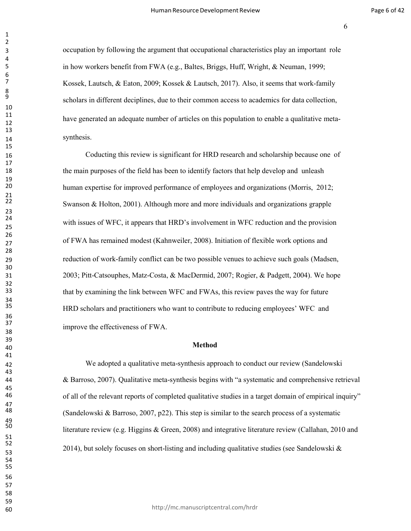occupation by following the argument that occupational characteristics play an important role in how workers benefit from FWA (e.g., Baltes, Briggs, Huff, Wright, & Neuman, 1999; Kossek, Lautsch, & Eaton, 2009; Kossek & Lautsch, 2017). Also, it seems that work-family scholars in different deciplines, due to their common access to academics for data collection, have generated an adequate number of articles on this population to enable a qualitative meta-14 synthesis.

 Coducting this review is significant for HRD research and scholarship because one of the main purposes of the field has been to identify factors that help develop and unleash human expertise for improved performance of employees and organizations (Morris, 2012; Swanson  $\&$  Holton, 2001). Although more and more individuals and organizations grapple with issues of WFC, it appears that HRD's involvement in WFC reduction and the provision of FWA has remained modest (Kahnweiler, 2008). Initiation of flexible work options and reduction of work-family conflict can be two possible venues to achieve such goals (Madsen, 2003; Pitt-Catsouphes, Matz-Costa, & MacDermid, 2007; Rogier, & Padgett, 2004). We hope that by examining the link between WFC and FWAs, this review paves the way for future HRD scholars and practitioners who want to contribute to reducing employees' WFC and improve the effectiveness of FWA.

#### **Method**

 We adopted a qualitative meta-synthesis approach to conduct our review (Sandelowski & Barroso, 2007). Qualitative meta-synthesis begins with "a systematic and comprehensive retrieval of all of the relevant reports of completed qualitative studies in a target domain of empirical inquiry" (Sandelowski & Barroso, 2007, p22). This step is similar to the search process of a systematic literature review (e.g. Higgins & Green, 2008) and integrative literature review (Callahan, 2010 and 52<br>2014), but solely focuses on short-listing and including qualitative studies (see Sandelowski &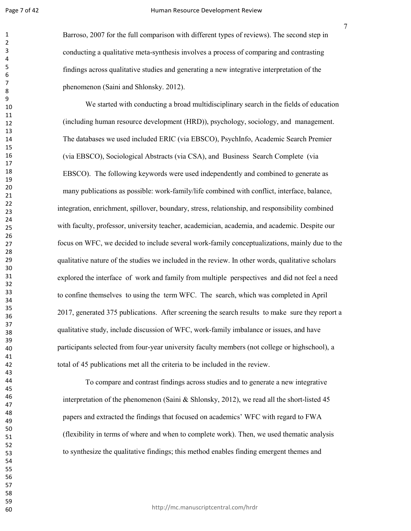Barroso, 2007 for the full comparison with different types of reviews). The second step in conducting a qualitative meta-synthesis involves a process of comparing and contrasting findings across qualitative studies and generating a new integrative interpretation of the phenomenon (Saini and Shlonsky. 2012).

We started with conducting a broad multidisciplinary search in the fields of education (including human resource development (HRD)), psychology, sociology, and management. The databases we used included ERIC (via EBSCO), PsychInfo, Academic Search Premier (via EBSCO), Sociological Abstracts (via CSA), and Business Search Complete (via EBSCO). The following keywords were used independently and combined to generate as many publications as possible: work-family/life combined with conflict, interface, balance, integration, enrichment, spillover, boundary, stress, relationship, and responsibility combined with faculty, professor, university teacher, academician, academia, and academic. Despite our focus on WFC, we decided to include several work-family conceptualizations, mainly due to the qualitative nature of the studies we included in the review. In other words, qualitative scholars explored the interface of work and family from multiple perspectives and did not feel a need to confine themselves to using the term WFC. The search, which was completed in April 2017, generated 375 publications. After screening the search results to make sure they report a qualitative study, include discussion of WFC, work-family imbalance or issues, and have participants selected from four-year university faculty members (not college or highschool), a total of 45 publications met all the criteria to be included in the review.

To compare and contrast findings across studies and to generate a new integrative interpretation of the phenomenon (Saini & Shlonsky, 2012), we read all the short-listed 45 papers and extracted the findings that focused on academics' WFC with regard to FWA (flexibility in terms of where and when to complete work). Then, we used thematic analysis to synthesize the qualitative findings; this method enables finding emergent themes and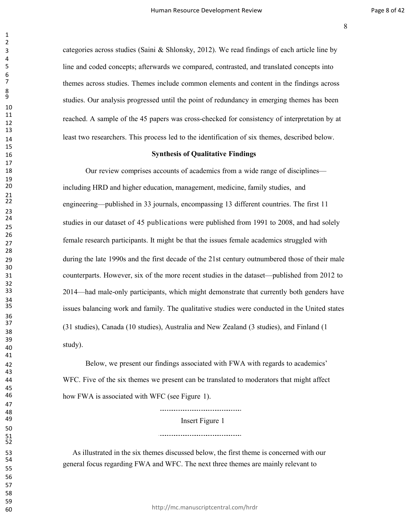categories across studies (Saini & Shlonsky, 2012). We read findings of each article line by line and coded concepts; afterwards we compared, contrasted, and translated concepts into themes across studies. Themes include common elements and content in the findings across studies. Our analysis progressed until the point of redundancy in emerging themes has been reached. <sup>A</sup> sample of the <sup>45</sup> papers was cross-checked for consistency of interpretation by at least two researchers. This process led to the identification of six themes, described below.

#### **Synthesis of Qualitative Findings**

18 Our review comprises accounts of academics from a wide range of disciplines— including HRD and higher education, management, medicine, family studies, and engineering—published in 33 journals, encompassing 13 different countries. The first 11 studies in our dataset of 45 publications were published from <sup>1991</sup> to 2008, and had solely female research participants. It might be that the issues female academics struggled with during the late 1990s and the first decade of the 21st century outnumbered those of their male counterparts. However, six of the more recent studies in the dataset—published from 2012 to 2014—had male-only participants, which might demonstrate that currently both genders have issues balancing work and family. The qualitative studies were conducted in the United states (31 studies), Canada (10 studies), Australia and New Zealand (3 studies), and Finland (1 study).

 Below, we present our findings associated with FWA with regards to academics' WFC. Five of the six themes we present can be translated to moderators that might affect how FWA is associated with WFC (see Figure 1).

> Insert Figure 1

53 As illustrated in the six themes discussed below, the first theme is concerned with our<br>54 general focus regarding FWA and WFC. The next three themes are mainly relevant to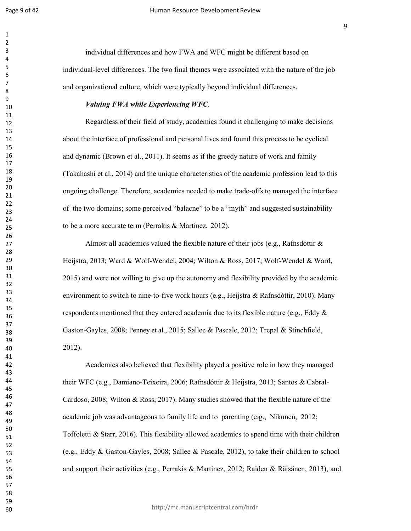individual differences and how FWA and WFC might be different based on individual-level differences. The two final themes were associated with the nature of the job and organizational culture, which were typically beyond individual differences.

## *Valuing FWA while Experiencing WFC*.

Regardless of their field of study, academics found it challenging to make decisions about the interface of professional and personal lives and found this process to be cyclical and dynamic (Brown et al., 2011). It seems as if the greedy nature of work and family (Takahashi et al., 2014) and the unique characteristics of the academic profession lead to this ongoing challenge. Therefore, academics needed to make trade-offs to managed the interface of the two domains; some perceived "balacne" to be a "myth" and suggested sustainability to be a more accurate term (Perrakis & Martinez, 2012).

Almost all academics valued the flexible nature of their jobs (e.g., Rafnsdóttir & Heijstra, 2013; Ward & Wolf-Wendel, 2004; Wilton & Ross, 2017; Wolf-Wendel & Ward, 2015) and were not willing to give up the autonomy and flexibility provided by the academic environment to switch to nine-to-five work hours (e.g., Heijstra & Rafnsdóttir, 2010). Many respondents mentioned that they entered academia due to its flexible nature (e.g., Eddy  $\&$ Gaston-Gayles, 2008; Penney et al., 2015; Sallee & Pascale, 2012; Trepal & Stinchfield, 2012).

Academics also believed that flexibility played a positive role in how they managed their WFC (e.g., Damiano-Teixeira, 2006; Rafnsdóttir & Heijstra, 2013; Santos & Cabral-Cardoso, 2008; Wilton & Ross, 2017). Many studies showed that the flexible nature of the academic job was advantageous to family life and to parenting (e.g., Nikunen, 2012; Toffoletti & Starr, 2016). This flexibility allowed academics to spend time with their children (e.g., Eddy & Gaston-Gayles, 2008; Sallee & Pascale, 2012), to take their children to school and support their activities (e.g., Perrakis & Martinez, 2012; Raiden & Räisänen, 2013), and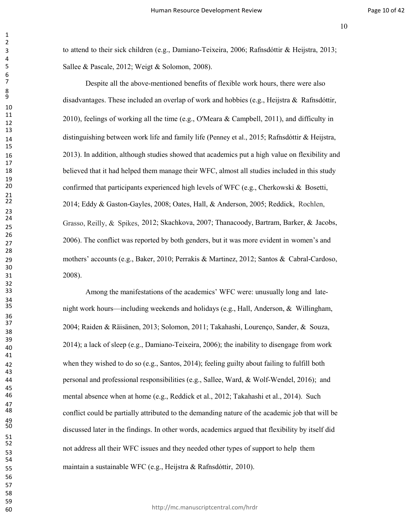to attend to their sick children (e.g., Damiano-Teixeira, 2006; Rafnsdóttir & Heijstra, 2013; Sallee & Pascale, 2012; Weigt & Solomon, 2008).

Grasso, Reilly, & Spikes, 2012; Skachkova, 2007; Thanacoody, Bartram, Barker, & Jacobs, Despite all the above-mentioned benefits of flexible work hours, there were also disadvantages. These included an overlap of work and hobbies (e.g., Heijstra & Rafnsdóttir, 2010), feelings of working all the time (e.g., O'Meara & Campbell, 2011), and difficulty in distinguishing between work life and family life (Penney et al., 2015; Rafnsdóttir & Heijstra, 2013). In addition, although studies showed that academics put a high value on flexibility and 18 believed that it had helped them manage their WFC, almost all studies included in this study confirmed that participants experienced high levels of WFC (e.g., Cherkowski & Bosetti, 2014; Eddy & Gaston-Gayles, 2008; Oates, Hall, & Anderson, 2005; Reddick, Rochlen, 2006). The conflict was reported by both genders, but it was more evident in women's and mothers' accounts (e.g., Baker, 2010; Perrakis & Martinez, 2012; Santos & Cabral-Cardoso, 2008).

 Among the manifestations of the academics' WFC were: unusually long and latenight work hours—including weekends and holidays (e.g., Hall, Anderson, & Willingham, 2004; Raiden & Räisänen, 2013; Solomon, 2011; Takahashi, Lourenço, Sander, & Souza, 2014); a lack of sleep (e.g., Damiano-Teixeira, 2006); the inability to disengage from work when they wished to do so (e.g., Santos, 2014); feeling guilty about failing to fulfill both personal and professional responsibilities (e.g., Sallee, Ward, & Wolf-Wendel, 2016); and mental absence when at home (e.g., Reddick et al., 2012; Takahashi et al., 2014). Such conflict could be partially attributed to the demanding nature of the academic job that will be discussed later in the findings. In other words, academics argued that flexibility by itself did not address all their WFC issues and they needed other types of support to help them maintain a sustainable WFC (e.g., Heijstra & Rafnsdóttir, 2010).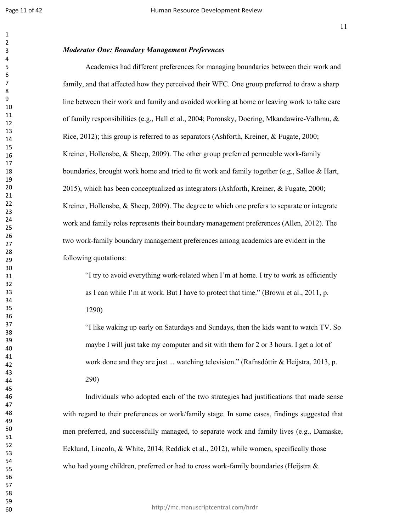## *Moderator One: Boundary Management Preferences*

Academics had different preferences for managing boundaries between their work and family, and that affected how they perceived their WFC. One group preferred to draw a sharp line between their work and family and avoided working at home or leaving work to take care of family responsibilities (e.g., Hall et al., 2004; Poronsky, Doering, Mkandawire-Valhmu, & Rice, 2012); this group is referred to as separators (Ashforth, Kreiner, & Fugate, 2000; Kreiner, Hollensbe, & Sheep, 2009). The other group preferred permeable work-family boundaries, brought work home and tried to fit work and family together (e.g., Sallee & Hart, 2015), which has been conceptualized as integrators (Ashforth, Kreiner, & Fugate, 2000; Kreiner, Hollensbe, & Sheep, 2009). The degree to which one prefers to separate or integrate work and family roles represents their boundary management preferences (Allen, 2012). The two work-family boundary management preferences among academics are evident in the following quotations:

"I try to avoid everything work-related when I'm at home. I try to work as efficiently as I can while I'm at work. But I have to protect that time." (Brown et al., 2011, p. 1290)

"I like waking up early on Saturdays and Sundays, then the kids want to watch TV. So maybe I will just take my computer and sit with them for 2 or 3 hours. I get a lot of work done and they are just ... watching television." (Rafnsdóttir & Heijstra, 2013, p. 290)

Individuals who adopted each of the two strategies had justifications that made sense with regard to their preferences or work/family stage. In some cases, findings suggested that men preferred, and successfully managed, to separate work and family lives (e.g., Damaske, Ecklund, Lincoln, & White, 2014; Reddick et al., 2012), while women, specifically those who had young children, preferred or had to cross work-family boundaries (Heijstra  $\&$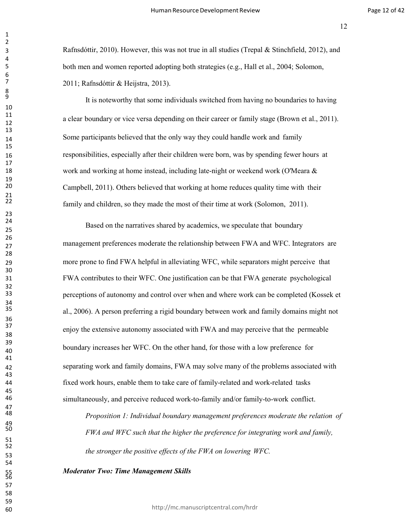Rafnsdóttir, 2010). However, this was not true in all studies (Trepal & Stinchfield, 2012), and both men and women reported adopting both strategies (e.g., Hall et al., 2004; Solomon, 2011; Rafnsdóttir & Heijstra, 2013).

It is noteworthy that some individuals switched from having no boundaries to having a clear boundary or vice versa depending on their career or family stage (Brown et al., 2011). Some participants believed that the only way they could handle work and family responsibilities, especially after their children were born, was by spending fewer hours at 18 work and working at home instead, including late-night or weekend work (O'Meara & Campbell, 2011). Others believed that working at home reduces quality time with their family and children, so they made the most of their time at work (Solomon, 2011).

 Based on the narratives shared by academics, we speculate that boundary management preferences moderate the relationship between FWA and WFC. Integrators are more prone to find FWA helpful in alleviating WFC, while separators might perceive that FWA contributes to their WFC. One justification can be that FWA generate psychological perceptions of autonomy and control over when and where work can be completed (Kossek et al., 2006). A person preferring a rigid boundary between work and family domains might not enjoy the extensive autonomy associated with FWA and may perceive that the permeable boundary increases her WFC. On the other hand, for those with a low preference for separating work and family domains, FWA may solve many of the problems associated with fixed work hours, enable them to take care of family-related and work-related tasks simultaneously, and perceive reduced work-to-family and/or family-to-work conflict.

 *Proposition 1: Individual boundary management preferences moderate the relation of FWA and WFC such that the higher the preference for integrating work and family, the stronger the positive effects of the FWA on lowering WFC.*

*Moderator Two: Time Management Skills*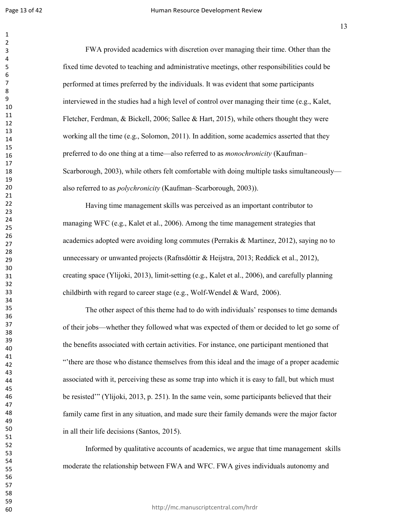FWA provided academics with discretion over managing their time. Other than the fixed time devoted to teaching and administrative meetings, other responsibilities could be performed at times preferred by the individuals. It was evident that some participants interviewed in the studies had a high level of control over managing their time (e.g., Kalet, Fletcher, Ferdman, & Bickell, 2006; Sallee & Hart, 2015), while others thought they were working all the time (e.g., Solomon, 2011). In addition, some academics asserted that they preferred to do one thing at a time—also referred to as *monochronicity* (Kaufman– Scarborough, 2003), while others felt comfortable with doing multiple tasks simultaneously also referred to as *polychronicity* (Kaufman–Scarborough, 2003)).

Having time management skills was perceived as an important contributor to managing WFC (e.g., Kalet et al., 2006). Among the time management strategies that academics adopted were avoiding long commutes (Perrakis & Martinez, 2012), saying no to unnecessary or unwanted projects (Rafnsdóttir & Heijstra, 2013; Reddick et al., 2012), creating space (Ylijoki, 2013), limit-setting (e.g., Kalet et al., 2006), and carefully planning childbirth with regard to career stage (e.g., Wolf-Wendel & Ward, 2006).

The other aspect of this theme had to do with individuals' responses to time demands of their jobs—whether they followed what was expected of them or decided to let go some of the benefits associated with certain activities. For instance, one participant mentioned that "'there are those who distance themselves from this ideal and the image of a proper academic associated with it, perceiving these as some trap into which it is easy to fall, but which must be resisted'" (Ylijoki, 2013, p. 251). In the same vein, some participants believed that their family came first in any situation, and made sure their family demands were the major factor in all their life decisions (Santos, 2015).

Informed by qualitative accounts of academics, we argue that time management skills moderate the relationship between FWA and WFC. FWA gives individuals autonomy and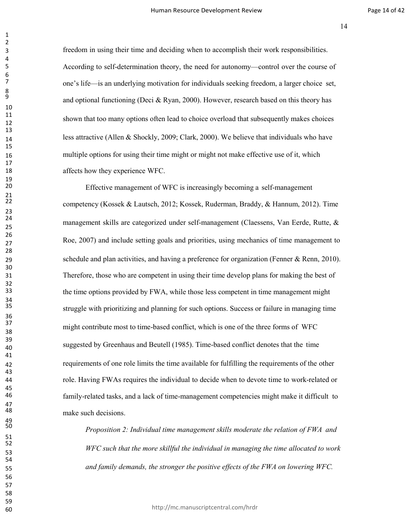freedom in using their time and deciding when to accomplish their work responsibilities. According to self-determination theory, the need for autonomy—control over the course of one's life—is an underlying motivation for individuals seeking freedom, a larger choice set, and optional functioning (Deci & Ryan, 2000). However, research based on this theory has shown that too many options often lead to choice overload that subsequently makes choices 14 less attractive (Allen & Shockly, 2009; Clark, 2000). We believe that individuals who have multiple options for using their time might or might not make effective use of it, which **affects** how they experience WFC.

 Effective management of WFC is increasingly becoming a self-management competency (Kossek & Lautsch, 2012; Kossek, Ruderman, Braddy, & Hannum, 2012). Time management skills are categorized under self-management (Claessens, Van Eerde, Rutte, & Roe, 2007) and include setting goals and priorities, using mechanics of time management to 29 schedule and plan activities, and having a preference for organization (Fenner & Renn, 2010). Therefore, those who are competent in using their time develop plans for making the best of the time options provided by FWA, while those less competent in time management might struggle with prioritizing and planning for such options. Success or failure in managing time might contribute most to time-based conflict, which is one of the three forms of WFC suggested by Greenhaus and Beutell (1985). Time-based conflict denotes that the time requirements of one role limits the time available for fulfilling the requirements of the other role. Having FWAs requires the individual to decide when to devote time to work-related or family-related tasks, and a lack of time-management competencies might make it difficult to make such decisions.

 *Proposition 2: Individual time management skills moderate the relation of FWA and WFC such that the more skillful the individual in managing the time allocated to work and family demands, the stronger the positive effects of the FWA on lowering WFC.*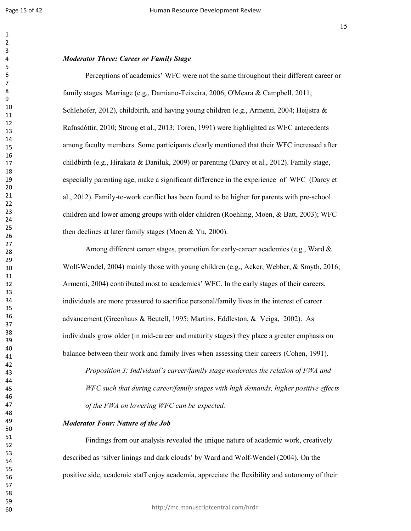#### *Moderator Three: Career or Family Stage*

Perceptions of academics' WFC were not the same throughout their different career or family stages. Marriage (e.g., Damiano-Teixeira, 2006; O'Meara & Campbell, 2011; Schlehofer, 2012), childbirth, and having young children (e.g., Armenti, 2004; Heijstra & Rafnsdóttir, 2010; Strong et al., 2013; Toren, 1991) were highlighted as WFC antecedents among faculty members. Some participants clearly mentioned that their WFC increased after childbirth (e.g., Hirakata & Daniluk, 2009) or parenting (Darcy et al., 2012). Family stage, especially parenting age, make a significant difference in the experience of WFC (Darcy et al., 2012). Family-to-work conflict has been found to be higher for parents with pre-school children and lower among groups with older children (Roehling, Moen, & Batt, 2003); WFC then declines at later family stages (Moen & Yu, 2000).

Among different career stages, promotion for early-career academics (e.g., Ward & Wolf-Wendel, 2004) mainly those with young children (e.g., Acker, Webber, & Smyth, 2016; Armenti, 2004) contributed most to academics' WFC. In the early stages of their careers, individuals are more pressured to sacrifice personal/family lives in the interest of career advancement (Greenhaus & Beutell, 1995; Martins, Eddleston, & Veiga, 2002). As individuals grow older (in mid-career and maturity stages) they place a greater emphasis on balance between their work and family lives when assessing their careers (Cohen, 1991).

*Proposition 3: Individual's career/family stage moderates the relation of FWA and WFC such that during career/family stages with high demands, higher positive effects of the FWA on lowering WFC can be expected.*

## *Moderator Four: Nature of the Job*

Findings from our analysis revealed the unique nature of academic work, creatively described as 'silver linings and dark clouds' by Ward and Wolf-Wendel (2004). On the positive side, academic staff enjoy academia, appreciate the flexibility and autonomy of their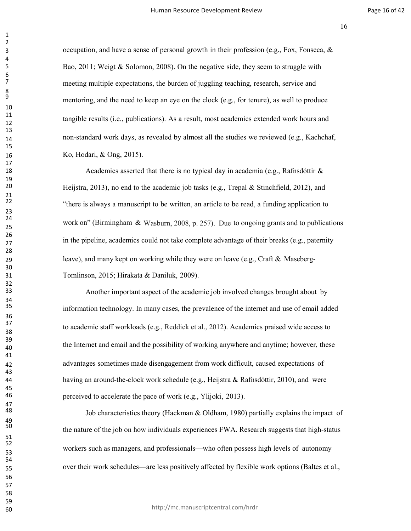3 secupation, and have a sense of personal growth in their profession (e.g., Fox, Fonseca,  $\&$ Bao, 2011; Weigt & Solomon, 2008). On the negative side, they seem to struggle with meeting multiple expectations, the burden of juggling teaching, research, service and mentoring, and the need to keep an eye on the clock (e.g., for tenure), as well to produce tangible results (i.e., publications). As <sup>a</sup> result, most academics extended work hours and non-standard work days, as revealed by almost all the studies we reviewed (e.g., Kachchaf, Ko, Hodari, & Ong, 2015).

24 work on" (Birmingham & Wasburn, 2008, p. 257). Due to ongoing grants and to publications 18 18 Academics asserted that there is no typical day in academia (e.g., Rafnsdóttir & Heijstra, 2013), no end to the academic job tasks (e.g., Trepal & Stinchfield, 2012), and "there is always a manuscript to be written, an article to be read, a funding application to in the pipeline, academics could not take complete advantage of their breaks (e.g., paternity leave), and many kept on working while they were on leave (e.g., Craft & Maseberg-Tomlinson, 2015; Hirakata & Daniluk, 2009).

 Another important aspect of the academic job involved changes brought about by information technology. In many cases, the prevalence of the internet and use of email added to academic staff workloads (e.g., Reddick et al., 2012). Academics praised wide access to the Internet and email and the possibility of working anywhere and anytime; however, these advantages sometimes made disengagement from work difficult, caused expectations of having an around-the-clock work schedule (e.g., Heijstra & Rafnsdóttir, 2010), and were perceived to accelerate the pace of work (e.g., Ylijoki, 2013).

Job characteristics theory (Hackman & Oldham, 1980) partially explains the impact of the nature of the job on how individuals experiences FWA. Research suggests that high-status workers such as managers, and professionals—who often possess high levels of autonomy over their work schedules—are less positively affected by flexible work options (Baltes et al.,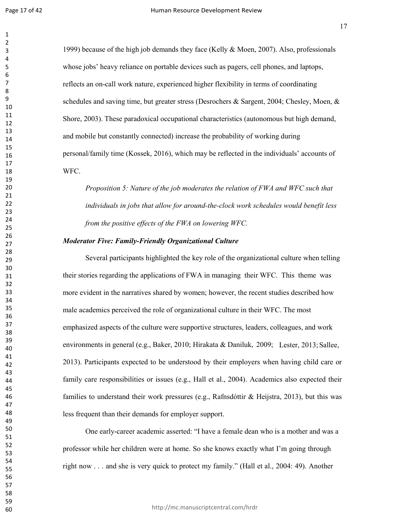1999) because of the high job demands they face (Kelly & Moen, 2007). Also, professionals whose jobs' heavy reliance on portable devices such as pagers, cell phones, and laptops, reflects an on-call work nature, experienced higher flexibility in terms of coordinating schedules and saving time, but greater stress (Desrochers & Sargent, 2004; Chesley, Moen, & Shore, 2003). These paradoxical occupational characteristics (autonomous but high demand, and mobile but constantly connected) increase the probability of working during personal/family time (Kossek, 2016), which may be reflected in the individuals' accounts of WFC.

*Proposition 5: Nature of the job moderates the relation of FWA and WFC such that individuals in jobs that allow for around-the-clock work schedules would benefit less from the positive effects of the FWA on lowering WFC.*

#### *Moderator Five: Family-Friendly Organizational Culture*

environments in general (e.g., Baker, 2010; Hirakata & Daniluk, 2009; Lester, 2013; Sallee, Several participants highlighted the key role of the organizational culture when telling their stories regarding the applications of FWA in managing their WFC. This theme was more evident in the narratives shared by women; however, the recent studies described how male academics perceived the role of organizational culture in their WFC. The most emphasized aspects of the culture were supportive structures, leaders, colleagues, and work 2013). Participants expected to be understood by their employers when having child care or family care responsibilities or issues (e.g., Hall et al., 2004). Academics also expected their families to understand their work pressures (e.g., Rafnsdóttir & Heijstra, 2013), but this was less frequent than their demands for employer support.

One early-career academic asserted: "I have a female dean who is a mother and was a professor while her children were at home. So she knows exactly what I'm going through right now . . . and she is very quick to protect my family." (Hall et al., 2004: 49). Another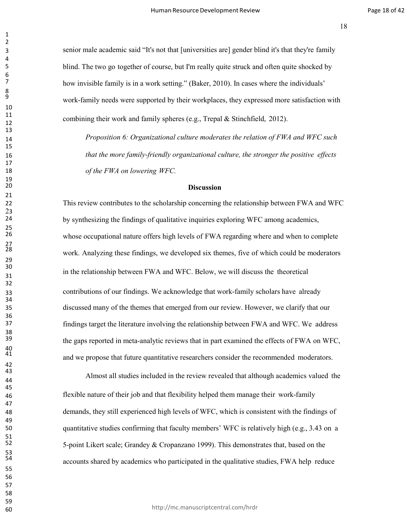senior male academic said "It's not that [universities are] gender blind it's that they're family blind. The two go together of course, but I'm really quite struck and often quite shocked by how invisible family is in a work setting." (Baker, 2010). In cases where the individuals' work-family needs were supported by their workplaces, they expressed more satisfaction with combining their work and family spheres (e.g., Trepal & Stinchfield, 2012).

 *Proposition 6: Organizational culture moderates the relation of FWA and WFC such that the more family-friendly organizational culture, the stronger the positive effects of the FWA on lowering WFC.*

# **Discussion**

 This review contributes to the scholarship concerning the relationship between FWA and WFC by synthesizing the findings of qualitative inquiries exploring WFC among academics, whose occupational nature offers high levels of FWA regarding where and when to complete work. Analyzing these findings, we developed six themes, five of which could be moderators in the relationship between FWA and WFC. Below, we will discuss the theoretical contributions of our findings. We acknowledge that work-family scholars have already discussed many of the themes that emerged from our review. However, we clarify that our findings target the literature involving the relationship between FWA and WFC. We address the gaps reported in meta-analytic reviews that in part examined the effects of FWA on WFC, and we propose that future quantitative researchers consider the recommended moderators.

Almost all studies included in the review revealed that although academics valued the flexible nature of their job and that flexibility helped them manage their work-family demands, they still experienced high levels of WFC, which is consistent with the findings of quantitative studies confirming that faculty members' WFC is relatively high (e.g., 3.43 on a 5-point Likert scale; Grandey & Cropanzano 1999). This demonstrates that, based on the accounts shared by academics who participated in the qualitative studies, FWA help reduce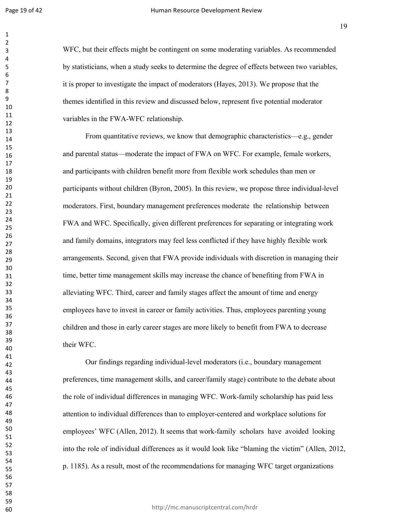WFC, but their effects might be contingent on some moderating variables. As recommended by statisticians, when a study seeks to determine the degree of effects between two variables, it is proper to investigate the impact of moderators (Hayes, 2013). We propose that the themes identified in this review and discussed below, represent five potential moderator variables in the FWA-WFC relationship.

From quantitative reviews, we know that demographic characteristics—e.g., gender and parental status—moderate the impact of FWA on WFC. For example, female workers, and participants with children benefit more from flexible work schedules than men or participants without children (Byron, 2005). In this review, we propose three individual-level moderators. First, boundary management preferences moderate the relationship between FWA and WFC. Specifically, given different preferences for separating or integrating work and family domains, integrators may feel less conflicted if they have highly flexible work arrangements. Second, given that FWA provide individuals with discretion in managing their time, better time management skills may increase the chance of benefiting from FWA in alleviating WFC. Third, career and family stages affect the amount of time and energy employees have to invest in career or family activities. Thus, employees parenting young children and those in early career stages are more likely to benefit from FWA to decrease their WFC.

Our findings regarding individual-level moderators (i.e., boundary management preferences, time management skills, and career/family stage) contribute to the debate about the role of individual differences in managing WFC. Work-family scholarship has paid less attention to individual differences than to employer-centered and workplace solutions for employees' WFC (Allen, 2012). It seems that work-family scholars have avoided looking into the role of individual differences as it would look like "blaming the victim" (Allen, 2012, p. 1185). As a result, most of the recommendations for managing WFC target organizations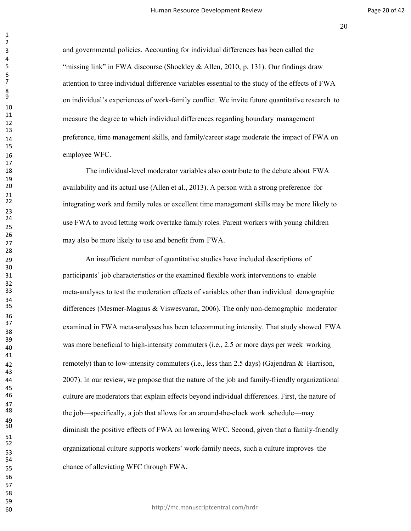and governmental policies. Accounting for individual differences has been called the "missing link" in FWA discourse (Shockley & Allen, 2010, p. 131). Our findings draw attention to three individual difference variables essential to the study of the effects of FWA on individual's experiences of work-family conflict. We invite future quantitative research to measure the degree to which individual differences regarding boundary management 14 preference, time management skills, and family/career stage moderate the impact of FWA on employee WFC.

 The individual-level moderator variables also contribute to the debate about FWA availability and its actual use (Allen et al., 2013). A person with a strong preference for integrating work and family roles or excellent time management skills may be more likely to use FWA to avoid letting work overtake family roles. Parent workers with young children may also be more likely to use and benefit from FWA.

 An insufficient number of quantitative studies have included descriptions of participants' job characteristics or the examined flexible work interventions to enable meta-analyses to test the moderation effects of variables other than individual demographic differences (Mesmer-Magnus & Viswesvaran, 2006). The only non-demographic moderator examined in FWA meta-analyses has been telecommuting intensity. That study showed FWA was more beneficial to high-intensity commuters (i.e., 2.5 or more days per week working remotely) than to low-intensity commuters (i.e., less than 2.5 days) (Gajendran & Harrison, 2007). In our review, we propose that the nature of the job and family-friendly organizational culture are moderators that explain effects beyond individual differences. First, the nature of the job—specifically, a job that allows for an around-the-clock work schedule—may diminish the positive effects of FWA on lowering WFC. Second, given that a family-friendly organizational culture supports workers' work-family needs, such a culture improves the chance of alleviating WFC through FWA.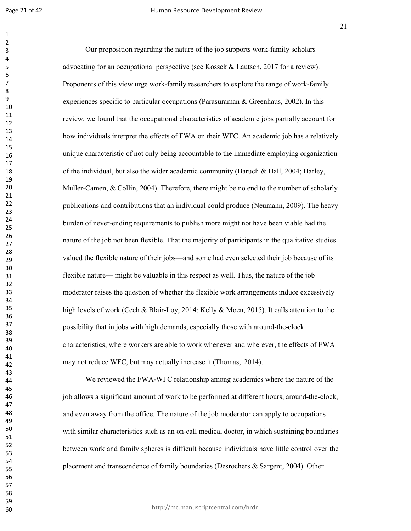Our proposition regarding the nature of the job supports work-family scholars advocating for an occupational perspective (see Kossek & Lautsch, 2017 for a review). Proponents of this view urge work-family researchers to explore the range of work-family experiences specific to particular occupations (Parasuraman & Greenhaus, 2002). In this review, we found that the occupational characteristics of academic jobs partially account for how individuals interpret the effects of FWA on their WFC. An academic job has a relatively unique characteristic of not only being accountable to the immediate employing organization of the individual, but also the wider academic community (Baruch & Hall, 2004; Harley, Muller-Camen, & Collin, 2004). Therefore, there might be no end to the number of scholarly publications and contributions that an individual could produce (Neumann, 2009). The heavy burden of never-ending requirements to publish more might not have been viable had the nature of the job not been flexible. That the majority of participants in the qualitative studies valued the flexible nature of their jobs—and some had even selected their job because of its flexible nature— might be valuable in this respect as well. Thus, the nature of the job moderator raises the question of whether the flexible work arrangements induce excessively high levels of work (Cech & Blair-Loy, 2014; Kelly & Moen, 2015). It calls attention to the possibility that in jobs with high demands, especially those with around-the-clock characteristics, where workers are able to work whenever and wherever, the effects of FWA may not reduce WFC, but may actually increase it (Thomas, 2014).

We reviewed the FWA-WFC relationship among academics where the nature of the job allows a significant amount of work to be performed at different hours, around-the-clock, and even away from the office. The nature of the job moderator can apply to occupations with similar characteristics such as an on-call medical doctor, in which sustaining boundaries between work and family spheres is difficult because individuals have little control over the placement and transcendence of family boundaries (Desrochers & Sargent, 2004). Other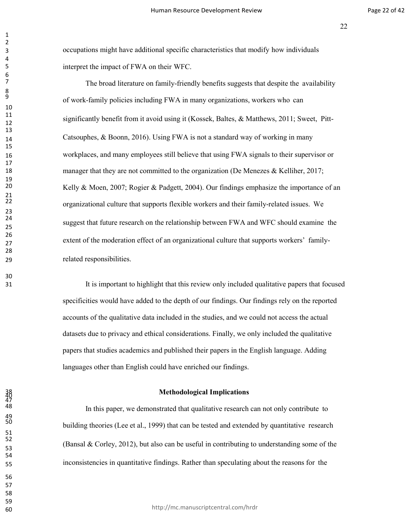occupations might have additional specific characteristics that modify how individuals interpret the impact of FWA on their WFC.

 The broad literature on family-friendly benefits suggests that despite the availability of work-family policies including FWA in many organizations, workers who can significantly benefit from it avoid using it (Kossek, Baltes, & Matthews, 2011; Sweet, Pitt- Catsouphes, & Boonn, 2016). Using FWA is not a standard way of working in many workplaces, and many employees still believe that using FWA signals to their supervisor or 18 manager that they are not committed to the organization (De Menezes & Kelliher, 2017; Kelly & Moen, 2007; Rogier & Padgett, 2004). Our findings emphasize the importance of an organizational culture that supports flexible workers and their family-related issues. We suggest that future research on the relationship between FWA and WFC should examine the extent of the moderation effect of an organizational culture that supports workers' family-related responsibilities.

 It is important to highlight that this review only included qualitative papers that focused specificities would have added to the depth of our findings. Our findings rely on the reported accounts of the qualitative data included in the studies, and we could not access the actual datasets due to privacy and ethical considerations. Finally, we only included the qualitative papers that studies academics and published their papers in the English language. Adding languages other than English could have enriched our findings.

#### **Methodological Implications**

 In this paper, we demonstrated that qualitative research can not only contribute to building theories (Lee et al., 1999) that can be tested and extended by quantitative research (Bansal & Corley, 2012), but also can be useful in contributing to understanding some of the inconsistencies in quantitative findings. Rather than speculating about the reasons for the

47

49<br>50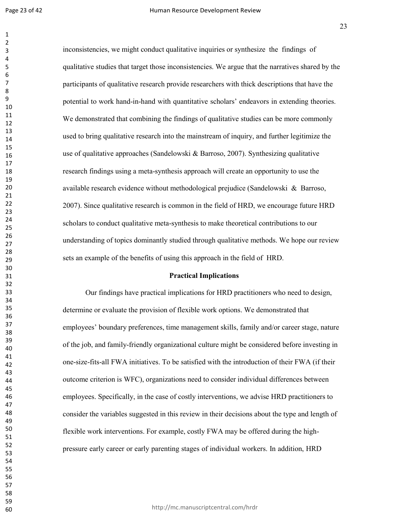inconsistencies, we might conduct qualitative inquiries or synthesize the findings of qualitative studies that target those inconsistencies. We argue that the narratives shared by the participants of qualitative research provide researchers with thick descriptions that have the potential to work hand-in-hand with quantitative scholars' endeavors in extending theories. We demonstrated that combining the findings of qualitative studies can be more commonly used to bring qualitative research into the mainstream of inquiry, and further legitimize the use of qualitative approaches (Sandelowski & Barroso, 2007). Synthesizing qualitative research findings using a meta-synthesis approach will create an opportunity to use the available research evidence without methodological prejudice (Sandelowski & Barroso, 2007). Since qualitative research is common in the field of HRD, we encourage future HRD scholars to conduct qualitative meta-synthesis to make theoretical contributions to our understanding of topics dominantly studied through qualitative methods. We hope our review sets an example of the benefits of using this approach in the field of HRD.

## **Practical Implications**

Our findings have practical implications for HRD practitioners who need to design, determine or evaluate the provision of flexible work options. We demonstrated that employees' boundary preferences, time management skills, family and/or career stage, nature of the job, and family-friendly organizational culture might be considered before investing in one-size-fits-all FWA initiatives. To be satisfied with the introduction of their FWA (if their outcome criterion is WFC), organizations need to consider individual differences between employees. Specifically, in the case of costly interventions, we advise HRD practitioners to consider the variables suggested in this review in their decisions about the type and length of flexible work interventions. For example, costly FWA may be offered during the highpressure early career or early parenting stages of individual workers. In addition, HRD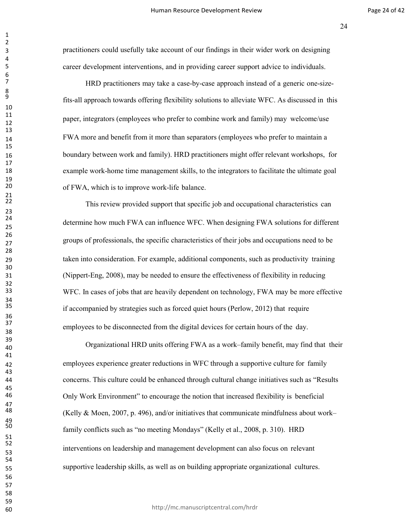practitioners could usefully take account of our findings in their wider work on designing career development interventions, and in providing career support advice to individuals.

 HRD practitioners may take a case-by-case approach instead of a generic one-sizefits-all approach towards offering flexibility solutions to alleviate WFC. As discussed in this paper, integrators (employees who prefer to combine work and family) may welcome/use FWA more and benefit from it more than separators (employees who prefer to maintain a boundary between work and family). HRD practitioners might offer relevant workshops, for example work-home time management skills, to the integrators to facilitate the ultimate goal of FWA, which is to improve work-life balance.

This review provided support that specific job and occupational characteristics can determine how much FWA can influence WFC. When designing FWA solutions for different groups of professionals, the specific characteristics of their jobs and occupations need to be taken into consideration. For example, additional components, such as productivity training (Nippert-Eng, 2008), may be needed to ensure the effectiveness of flexibility in reducing WFC. In cases of jobs that are heavily dependent on technology, FWA may be more effective if accompanied by strategies such as forced quiet hours (Perlow, 2012) that require employees to be disconnected from the digital devices for certain hours of the day.

Organizational HRD units offering FWA as a work–family benefit, may find that their employees experience greater reductions in WFC through a supportive culture for family concerns. This culture could be enhanced through cultural change initiatives such as "Results Only Work Environment" to encourage the notion that increased flexibility is beneficial (Kelly & Moen, 2007, p. 496), and/or initiatives that communicate mindfulness about work– family conflicts such as "no meeting Mondays" (Kelly et al., 2008, p. 310). HRD interventions on leadership and management development can also focus on relevant supportive leadership skills, as well as on building appropriate organizational cultures.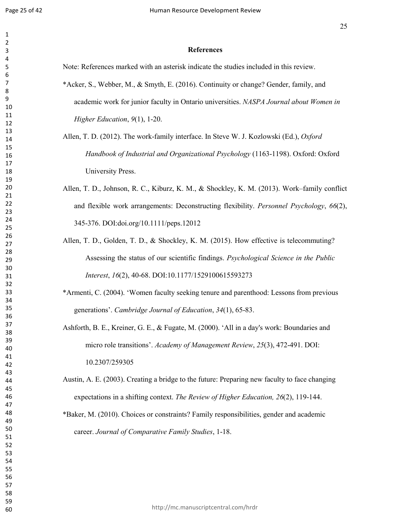#### **References**

Note: References marked with an asterisk indicate the studies included in this review. \*Acker, S., Webber, M., & Smyth, E. (2016). Continuity or change? Gender, family, and

academic work for junior faculty in Ontario universities. *NASPA Journal about Women in Higher Education*, *9*(1), 1-20.

- Allen, T. D. (2012). The work-family interface. In Steve W. J. Kozlowski (Ed.), *Oxford Handbook of Industrial and Organizational Psychology* (1163-1198). Oxford: Oxford University Press.
- Allen, T. D., Johnson, R. C., Kiburz, K. M., & Shockley, K. M. (2013). Work–family conflict and flexible work arrangements: Deconstructing flexibility. *Personnel Psychology*, *66*(2), 345-376. DOI:doi.org/10.1111/peps.12012
- Allen, T. D., Golden, T. D., & Shockley, K. M. (2015). How effective is telecommuting? Assessing the status of our scientific findings. *Psychological Science in the Public Interest*, *16*(2), 40-68. DOI:10.1177/1529100615593273
- \*Armenti, C. (2004). 'Women faculty seeking tenure and parenthood: Lessons from previous generations'. *Cambridge Journal of Education*, *34*(1), 65-83.
- Ashforth, B. E., Kreiner, G. E., & Fugate, M. (2000). 'All in a day's work: Boundaries and micro role transitions'. *Academy of Management Review*, *25*(3), 472-491. DOI: 10.2307/259305
- Austin, A. E. (2003). Creating a bridge to the future: Preparing new faculty to face changing expectations in a shifting context. *The Review of Higher Education, 26*(2), 119-144.
- \*Baker, M. (2010). Choices or constraints? Family responsibilities, gender and academic career. *Journal of Comparative Family Studies*, 1-18.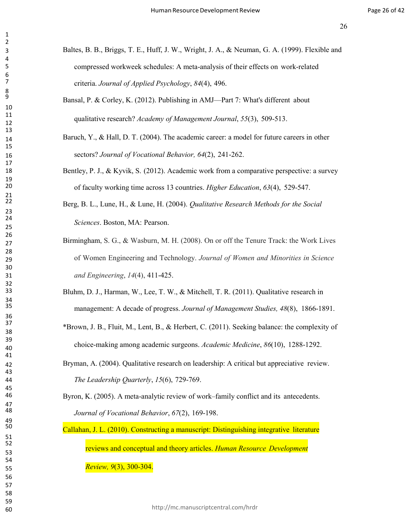- Baltes, B. B., Briggs, T. E., Huff, J. W., Wright, J. A., & Neuman, G. A. (1999). Flexible and compressed workweek schedules: A meta-analysis of their effects on work-related criteria. *Journal of Applied Psychology*, *84*(4), 496.
- Bansal, P. & Corley, K. (2012). Publishing in AMJ—Part 7: What's different about qualitative research? *Academy of Management Journal*, *55*(3), 509-513.
- 14 Baruch, Y., & Hall, D. T. (2004). The academic career: a model for future careers in other sectors? *Journal of Vocational Behavior, 64*(2), 241-262.
- 18 Bentley, P. J., & Kyvik, S. (2012). Academic work from a comparative perspective: a survey of faculty working time across 13 countries. *Higher Education*, *63*(4), 529-547.
- Berg, B. L., Lune, H., & Lune, H. (2004). *Qualitative Research Methods for the Social Sciences*. Boston, MA: Pearson.
- of Women Engineering and Technology. *Journal of Women and Minorities in Science* Birmingham, S. G., & Wasburn, M. H. (2008). On or off the Tenure Track: the Work Lives *and Engineering*, *14*(4), 411-425.
- Bluhm, D. J., Harman, W., Lee, T. W., & Mitchell, T. R. (2011). Qualitative research in management: A decade of progress. *Journal of Management Studies, 48*(8), 1866-1891.
- \*Brown, J. B., Fluit, M., Lent, B., & Herbert, C. (2011). Seeking balance: the complexity of choice-making among academic surgeons. *Academic Medicine*, *86*(10), 1288-1292.
- Bryman, A. (2004). Qualitative research on leadership: A critical but appreciative review. *The Leadership Quarterly*, *15*(6), 729-769.

 Byron, K. (2005). A meta-analytic review of work–family conflict and its antecedents. *Journal of Vocational Behavior*, *67*(2), 169-198.

 Callahan, J. L. (2010). Constructing a manuscript: Distinguishing integrative literature reviews and conceptual and theory articles. *Human Resource Development*

*Review, 9*(3), 300-304.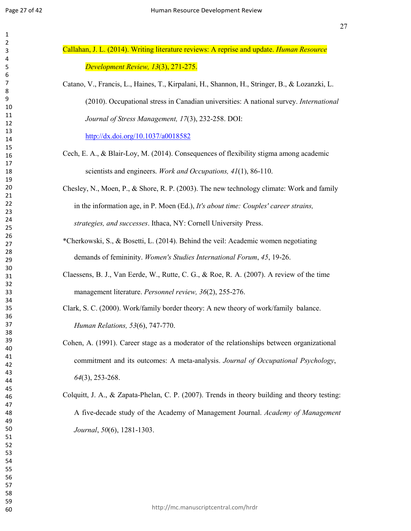| Callahan, J. L. (2014). Writing literature reviews: A reprise and update. <i>Human Resource</i> |
|-------------------------------------------------------------------------------------------------|
| Development Review, 13(3), 271-275.                                                             |
| Catano, V., Francis, L., Haines, T., Kirpalani, H., Shannon, H., Stringer, B., & Lozanzki, L.   |

(2010). Occupational stress in Canadian universities: A national survey. *International Journal of Stress Management, 17*(3), 232-258. DOI:

<http://dx.doi.org/10.1037/a0018582>

Cech, E. A., & Blair-Loy, M. (2014). Consequences of flexibility stigma among academic scientists and engineers. *Work and Occupations, 41*(1), 86-110.

Chesley, N., Moen, P., & Shore, R. P. (2003). The new technology climate: Work and family in the information age, in P. Moen (Ed.), *It's about time: Couples' career strains, strategies, and successes*. Ithaca, NY: Cornell University Press.

- \*Cherkowski, S., & Bosetti, L. (2014). Behind the veil: Academic women negotiating demands of femininity. *Women's Studies International Forum*, *45*, 19-26.
- Claessens, B. J., Van Eerde, W., Rutte, C. G., & Roe, R. A. (2007). A review of the time management literature. *Personnel review, 36*(2), 255-276.

Clark, S. C. (2000). Work/family border theory: A new theory of work/family balance. *Human Relations, 53*(6), 747-770.

- Cohen, A. (1991). Career stage as a moderator of the relationships between organizational commitment and its outcomes: A meta-analysis. *Journal of Occupational Psychology*, (3), 253-268.
- Colquitt, J. A., & Zapata-Phelan, C. P. (2007). Trends in theory building and theory testing: A five-decade study of the Academy of Management Journal. *Academy of Management Journal*, *50*(6), 1281-1303.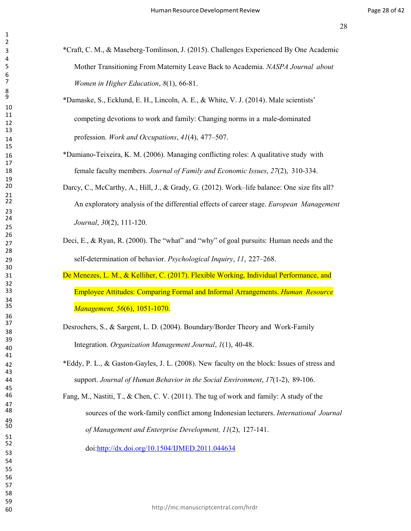- \*Craft, C. M., & Maseberg-Tomlinson, J. (2015). Challenges Experienced By One Academic Mother Transitioning From Maternity Leave Back to Academia. *NASPA Journal about Women in Higher Education*, *8*(1), 66-81.
- \*Damaske, S., Ecklund, E. H., Lincoln, A. E., & White, V. J. (2014). Male scientists' competing devotions to work and family: Changing norms in a male-dominated profession. *Work and Occupations*, *41*(4), 477–507.
- \*Damiano-Teixeira, K. M. (2006). Managing conflicting roles: A qualitative study with female faculty members. *Journal of Family and Economic Issues*, *27*(2), 310-334.
- Darcy, C., McCarthy, A., Hill, J., & Grady, G. (2012). Work–life balance: One size fits all? An exploratory analysis of the differential effects of career stage. *European Management Journal*, *30*(2), 111-120.
- Deci, E., & Ryan, R. (2000). The "what" and "why" of goal pursuits: Human needs and the self-determination of behavior. *Psychological Inquiry*, *11*, 227–268.
- De Menezes, L. M., & Kelliher, C. (2017). Flexible Working, Individual Performance, and Employee Attitudes: Comparing Formal and Informal Arrangements. *Human Resource Management, 56*(6), 1051-1070.
- Desrochers, S., & Sargent, L. D. (2004). Boundary/Border Theory and Work-Family Integration. *Organization Management Journal*, *1*(1), 40-48.
- \*Eddy, P. L., & Gaston-Gayles, J. L. (2008). New faculty on the block: Issues of stress and support. *Journal of Human Behavior in the Social Environment*, *17*(1-2), 89-106.
- Fang, M., Nastiti, T., & Chen, C. V. (2011). The tug of work and family: A study of the sources of the work-family conflict among Indonesian lecturers. *International Journal of Management and Enterprise Development, 11*(2), 127-141.

doi[:http://dx.doi.org/10.1504/IJMED.2011.044634](http://dx.doi.org/10.1504/IJMED.2011.044634)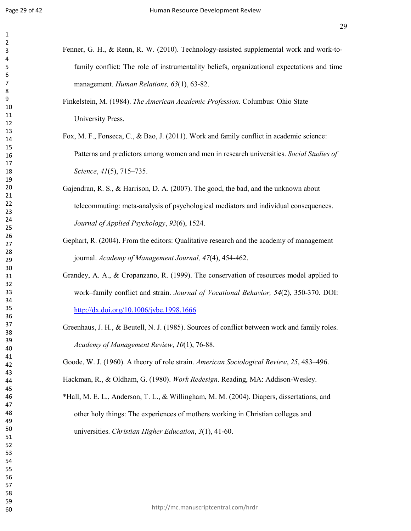| Fenner, G. H., & Renn, R. W. (2010). Technology-assisted supplemental work and work-to-    |
|--------------------------------------------------------------------------------------------|
| family conflict: The role of instrumentality beliefs, organizational expectations and time |
| management. Human Relations, 63(1), 63-82.                                                 |
| Finkelstein, M. (1984). The American Academic Profession. Columbus: Ohio State             |
| University Press.                                                                          |
| Fox, M. F., Fonseca, C., & Bao, J. (2011). Work and family conflict in academic science:   |
| Patterns and predictors among women and men in research universities. Social Studies of    |
| Science, 41(5), 715-735.                                                                   |
| Gajendran, R. S., & Harrison, D. A. (2007). The good, the bad, and the unknown about       |
| telecommuting: meta-analysis of psychological mediators and individual consequences.       |
| Journal of Applied Psychology, 92(6), 1524.                                                |
| Gephart, R. (2004). From the editors: Qualitative research and the academy of management   |
| journal. Academy of Management Journal, 47(4), 454-462.                                    |
|                                                                                            |

- Grandey, A. A., & Cropanzano, R. (1999). The conservation of resources model applied to work–family conflict and strain. *Journal of Vocational Behavior, 54*(2), 350-370. DOI: <http://dx.doi.org/10.1006/jvbe.1998.1666>
- Greenhaus, J. H., & Beutell, N. J. (1985). Sources of conflict between work and family roles. *Academy of Management Review*, *10*(1), 76-88.

Goode, W. J. (1960). A theory of role strain. *American Sociological Review*, *25*, 483–496.

Hackman, R., & Oldham, G. (1980). *Work Redesign*. Reading, MA: Addison-Wesley.

\*Hall, M. E. L., Anderson, T. L., & Willingham, M. M. (2004). Diapers, dissertations, and other holy things: The experiences of mothers working in Christian colleges and universities. *Christian Higher Education*, *3*(1), 41-60.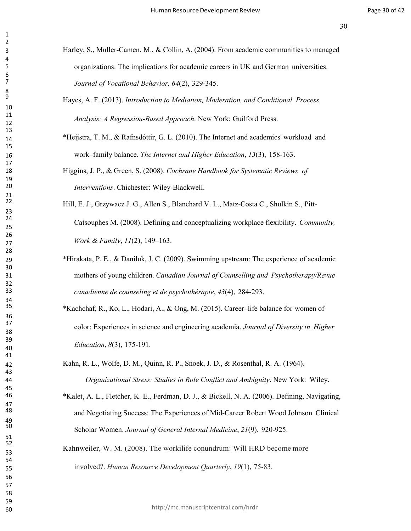- Harley, S., Muller-Camen, M., & Collin, A. (2004). From academic communities to managed organizations: The implications for academic careers in UK and German universities. *Journal of Vocational Behavior, 64*(2), 329-345.
- Hayes, A. F. (2013). *Introduction to Mediation, Moderation, and Conditional Process Analysis: A Regression-Based Approach*. New York: Guilford Press.
- \*Heijstra, T. M., & Rafnsdóttir, G. L. (2010). The Internet and academics' workload and work–family balance. *The Internet and Higher Education*, *13*(3), 158-163.
- Higgins, J. P., & Green, S. (2008). *Cochrane Handbook for Systematic Reviews of Interventions*. Chichester: Wiley-Blackwell.
- Hill, E. J., Grzywacz J. G., Allen S., Blanchard V. L., Matz-Costa C., Shulkin S., Pitt- Catsouphes M. (2008). Defining and conceptualizing workplace flexibility. *Community, Work & Family*, *11*(2), 149–163.
- \*Hirakata, P. E., & Daniluk, J. C. (2009). Swimming upstream: The experience of academic mothers of young children. *Canadian Journal of Counselling and Psychotherapy/Revue canadienne de counseling et de psychothérapie*, *43*(4), 284-293.
- \*Kachchaf, R., Ko, L., Hodari, A., & Ong, M. (2015). Career–life balance for women of color: Experiences in science and engineering academia. *Journal of Diversity in Higher Education*, *8*(3), 175-191.
- Kahn, R. L., Wolfe, D. M., Quinn, R. P., Snoek, J. D., & Rosenthal, R. A. (1964). *Organizational Stress: Studies in Role Conflict and Ambiguity*. New York: Wiley.
- \*Kalet, A. L., Fletcher, K. E., Ferdman, D. J., & Bickell, N. A. (2006). Defining, Navigating, and Negotiating Success: The Experiences of Mid-Career Robert Wood Johnson Clinical Scholar Women. *Journal of General Internal Medicine*, *21*(9), 920-925.
- Kahnweiler, W. M. (2008). The workilife conundrum: Will HRD become more involved?. *Human Resource Development Quarterly*, *19*(1), 75-83.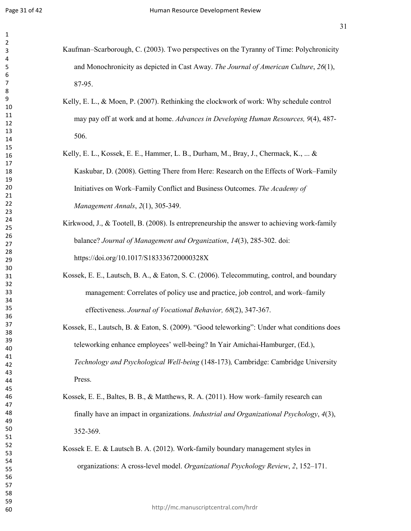- Kaufman–Scarborough, C. (2003). Two perspectives on the Tyranny of Time: Polychronicity and Monochronicity as depicted in Cast Away. *The Journal of American Culture*, *26*(1), 87-95.
- Kelly, E. L., & Moen, P. (2007). Rethinking the clockwork of work: Why schedule control may pay off at work and at home. *Advances in Developing Human Resources, 9*(4), 487- 506.
- Kelly, E. L., Kossek, E. E., Hammer, L. B., Durham, M., Bray, J., Chermack, K., ... & Kaskubar, D. (2008). Getting There from Here: Research on the Effects of Work–Family Initiatives on Work–Family Conflict and Business Outcomes. *The Academy of Management Annals*, *2*(1), 305-349.
- Kirkwood, J., & Tootell, B. (2008). Is entrepreneurship the answer to achieving work-family balance? *Journal of Management and Organization*, *14*(3), 285-302. doi: https://doi.org/10.1017/S183336720000328X
- Kossek, E. E., Lautsch, B. A., & Eaton, S. C. (2006). Telecommuting, control, and boundary management: Correlates of policy use and practice, job control, and work–family effectiveness. *Journal of Vocational Behavior, 68*(2), 347-367.
- Kossek, E., Lautsch, B. & Eaton, S. (2009). "Good teleworking": Under what conditions does teleworking enhance employees' well-being? In Yair Amichai-Hamburger, (Ed.), *Technology and Psychological Well-being* (148-173)*,* Cambridge: Cambridge University Press.
- Kossek, E. E., Baltes, B. B., & Matthews, R. A. (2011). How work–family research can finally have an impact in organizations. *Industrial and Organizational Psychology*, *4*(3), 352-369.
- Kossek E. E. & Lautsch B. A. (2012). Work-family boundary management styles in organizations: A cross-level model. *Organizational Psychology Review*, *2*, 152–171.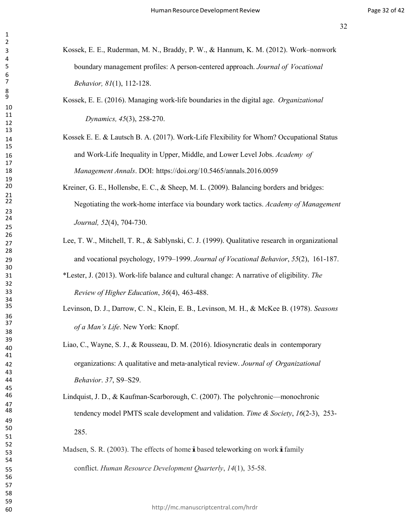- Kossek, E. E., Ruderman, M. N., Braddy, P. W., & Hannum, K. M. (2012). Work–nonwork boundary management profiles: A person-centered approach. *Journal of Vocational Behavior, 81*(1), 112-128.
- Kossek, E. E. (2016). Managing work-life boundaries in the digital age. *Organizational Dynamics, 45*(3), 258-270.
- Kossek E. E. & Lautsch B. A. (2017). Work-Life Flexibility for Whom? Occupational Status and Work-Life Inequality in Upper, Middle, and Lower Level Jobs. *Academy of Management Annals*. DOI: https://doi.org/10.5465/annals.2016.0059
- Kreiner, G. E., Hollensbe, E. C., & Sheep, M. L. (2009). Balancing borders and bridges: Negotiating the work-home interface via boundary work tactics. *Academy of Management Journal, 52*(4), 704-730.
- Lee, T. W., Mitchell, T. R., & Sablynski, C. J. (1999). Qualitative research in organizational and vocational psychology, 1979–1999. *Journal of Vocational Behavior*, *55*(2), 161-187.
	- \*Lester, J. (2013). Work-life balance and cultural change: A narrative of eligibility. *The Review of Higher Education*, *36*(4), 463-488.
- Levinson, D. J., Darrow, C. N., Klein, E. B., Levinson, M. H., & McKee B. (1978). *Seasons of a Man's Life*. New York: Knopf.
- Liao, C., Wayne, S. J., & Rousseau, D. M. (2016). Idiosyncratic deals in contemporary organizations: A qualitative and meta‐analytical review. *Journal of Organizational Behavior*. *37*, S9–S29.
- Lindquist, J. D., & Kaufman-Scarborough, C. (2007). The polychronic—monochronic tendency model PMTS scale development and validation. *Time & Society*, *16*(2-3), 253- 285.
- Madsen, S. R. (2003). The effects of home **i** based teleworking on work **i** family conflict. *Human Resource Development Quarterly*, *14*(1), 35-58.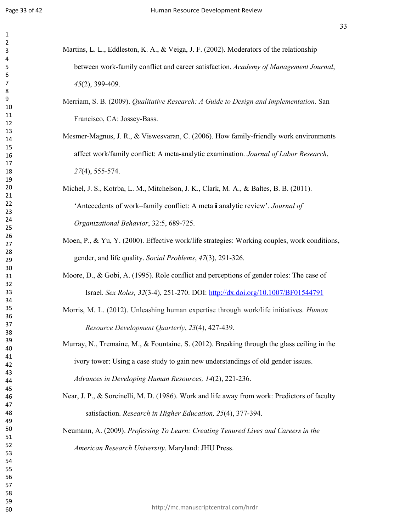- Martins, L. L., Eddleston, K. A., & Veiga, J. F. (2002). Moderators of the relationship between work-family conflict and career satisfaction. *Academy of Management Journal*, (2), 399-409.
	- Merriam, S. B. (2009). *Qualitative Research: A Guide to Design and Implementation*. San Francisco, CA: Jossey-Bass.
	- Mesmer-Magnus, J. R., & Viswesvaran, C. (2006). How family-friendly work environments affect work/family conflict: A meta-analytic examination. *Journal of Labor Research*, (4), 555-574.
	- Michel, J. S., Kotrba, L. M., Mitchelson, J. K., Clark, M. A., & Baltes, B. B. (2011). 'Antecedents of work–family conflict: <sup>A</sup> metaianalytic review'. *Journal of Organizational Behavior*, 32:5, 689-725.
	- Moen, P., & Yu, Y. (2000). Effective work/life strategies: Working couples, work conditions, gender, and life quality. *Social Problems*, *47*(3), 291-326.
	- Moore, D., & Gobi, A. (1995). Role conflict and perceptions of gender roles: The case of Israel. *Sex Roles, 32*(3-4), 251-270. DOI:<http://dx.doi.org/10.1007/BF01544791>
	- Morris, M. L. (2012). Unleashing human expertise through work/life initiatives. *Human Resource Development Quarterly*, *23*(4), 427-439.
	- Murray, N., Tremaine, M., & Fountaine, S. (2012). Breaking through the glass ceiling in the ivory tower: Using a case study to gain new understandings of old gender issues. *Advances in Developing Human Resources, 14*(2), 221-236.
	- Near, J. P., & Sorcinelli, M. D. (1986). Work and life away from work: Predictors of faculty satisfaction. *Research in Higher Education, 25*(4), 377-394.

Neumann, A. (2009). *Professing To Learn: Creating Tenured Lives and Careers in the American Research University*. Maryland: JHU Press.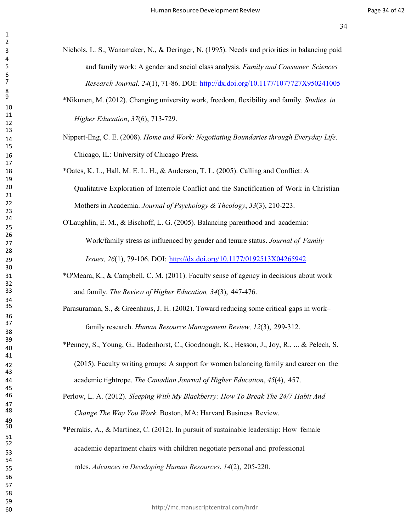- Nichols, L. S., Wanamaker, N., & Deringer, N. (1995). Needs and priorities in balancing paid and family work: A gender and social class analysis. *Family and Consumer Sciences Research Journal, 24*(1), 71-86. DOI: <http://dx.doi.org/10.1177/1077727X950241005>
- \*Nikunen, M. (2012). Changing university work, freedom, flexibility and family. *Studies in Higher Education*, *37*(6), 713-729.
- Nippert-Eng, C. E. (2008). *Home and Work: Negotiating Boundaries through Everyday Life*. Chicago, IL: University of Chicago Press.
	- Mothers in Academia. *Journal of Psychology & Theology*, *33*(3), 210-223. \*Oates, K. L., Hall, M. E. L. H., & Anderson, T. L. (2005). Calling and Conflict: A Qualitative Exploration of Interrole Conflict and the Sanctification of Work in Christian

O'Laughlin, E. M., & Bischoff, L. G. (2005). Balancing parenthood and academia:

Work/family stress as influenced by gender and tenure status. *Journal of Family*

*Issues, 26*(1), 79-106. DOI: <http://dx.doi.org/10.1177/0192513X04265942>

- \*O'Meara, K., & Campbell, C. M. (2011). Faculty sense of agency in decisions about work and family. *The Review of Higher Education, 34*(3), 447-476.
- Parasuraman, S., & Greenhaus, J. H. (2002). Toward reducing some critical gaps in work– family research. *Human Resource Management Review, 12*(3), 299-312.
- \*Penney, S., Young, G., Badenhorst, C., Goodnough, K., Hesson, J., Joy, R., ... & Pelech, S. (2015). Faculty writing groups: A support for women balancing family and career on the

academic tightrope. *The Canadian Journal of Higher Education*, *45*(4), 457.

- Perlow, L. A. (2012). *Sleeping With My Blackberry: How To Break The 24/7 Habit And Change The Way You Work*. Boston, MA: Harvard Business Review.
- \*Perrakis, A., & Martinez, C. (2012). In pursuit of sustainable leadership: How female academic department chairs with children negotiate personal and professional roles. *Advances in Developing Human Resources*, *14*(2), 205-220.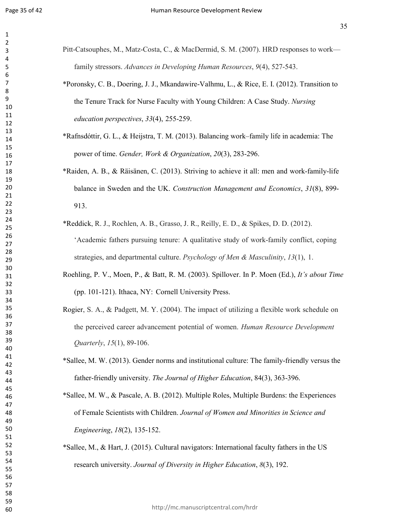| Pitt-Catsouphes, M., Matz-Costa, C., & MacDermid, S. M. (2007). HRD responses to work— |
|----------------------------------------------------------------------------------------|
| family stressors. Advances in Developing Human Resources, 9(4), 527-543.               |

- \*Poronsky, C. B., Doering, J. J., Mkandawire-Valhmu, L., & Rice, E. I. (2012). Transition to the Tenure Track for Nurse Faculty with Young Children: A Case Study. *Nursing education perspectives*, *33*(4), 255-259.
- \*Rafnsdóttir, G. L., & Heijstra, T. M. (2013). Balancing work–family life in academia: The power of time. *Gender, Work & Organization*, *20*(3), 283-296.
- \*Raiden, A. B., & Räisänen, C. (2013). Striving to achieve it all: men and work-family-life balance in Sweden and the UK. *Construction Management and Economics*, *31*(8), 899- 913.
- \*Reddick, R. J., Rochlen, A. B., Grasso, J. R., Reilly, E. D., & Spikes, D. D. (2012). 'Academic fathers pursuing tenure: A qualitative study of work-family conflict, coping strategies, and departmental culture. *Psychology of Men & Masculinity*, *13*(1), 1.
- Roehling, P. V., Moen, P., & Batt, R. M. (2003). Spillover. In P. Moen (Ed.), *It's about Time* (pp. 101-121). Ithaca, NY: Cornell University Press.
- *Quarterly*, *15*(1), 89-106. Rogier, S. A., & Padgett, M. Y. (2004). The impact of utilizing a flexible work schedule on the perceived career advancement potential of women. *Human Resource Development*
- \*Sallee, M. W. (2013). Gender norms and institutional culture: The family-friendly versus the father-friendly university. *The Journal of Higher Education*, 84(3), 363-396.
- \*Sallee, M. W., & Pascale, A. B. (2012). Multiple Roles, Multiple Burdens: the Experiences of Female Scientists with Children. *Journal of Women and Minorities in Science and Engineering*, *18*(2), 135-152.
- \*Sallee, M., & Hart, J. (2015). Cultural navigators: International faculty fathers in the US research university. *Journal of Diversity in Higher Education*, *8*(3), 192.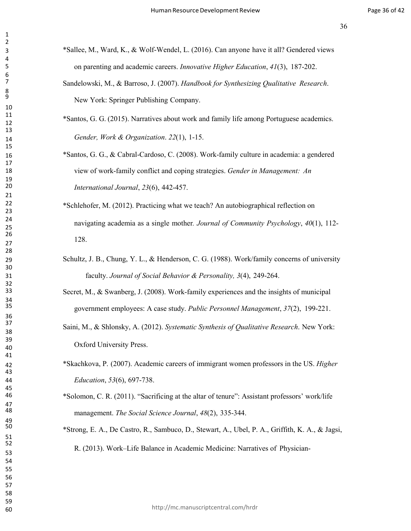- \*Sallee, M., Ward, K., & Wolf-Wendel, L. (2016). Can anyone have it all? Gendered views on parenting and academic careers. *Innovative Higher Education*, *41*(3), 187-202.
	- Sandelowski, M., & Barroso, J. (2007). *Handbook for Synthesizing Qualitative Research*. New York: Springer Publishing Company.
- \*Santos, G. G. (2015). Narratives about work and family life among Portuguese academics. *Gender, Work & Organization*. *22*(1), 1-15.
- \*Santos, G. G., & Cabral-Cardoso, C. (2008). Work-family culture in academia: a gendered view of work-family conflict and coping strategies. *Gender in Management: An International Journal*, *23*(6), 442-457.
	- \*Schlehofer, M. (2012). Practicing what we teach? An autobiographical reflection on navigating academia as a single mother*. Journal of Community Psychology*, *40*(1), 112- 128.
- Schultz, J. B., Chung, Y. L., & Henderson, C. G. (1988). Work/family concerns of university faculty. *Journal of Social Behavior & Personality, 3*(4), 249-264.
- Secret, M., & Swanberg, J. (2008). Work-family experiences and the insights of municipal government employees: A case study. *Public Personnel Management*, *37*(2), 199-221.
- Saini, M., & Shlonsky, A. (2012). *Systematic Synthesis of Qualitative Research*. New York: Oxford University Press.
- \*Skachkova, P. (2007). Academic careers of immigrant women professors in the US. *Higher Education*, *53*(6), 697-738.
- \*Solomon, C. R. (2011). "Sacrificing at the altar of tenure": Assistant professors' work/life management. *The Social Science Journal*, *48*(2), 335-344.
- \*Strong, E. A., De Castro, R., Sambuco, D., Stewart, A., Ubel, P. A., Griffith, K. A., & Jagsi, R. (2013). Work–Life Balance in Academic Medicine: Narratives of Physician-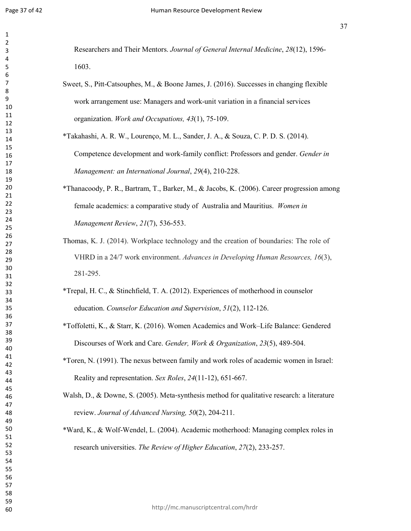Researchers and Their Mentors. *Journal of General Internal Medicine*, *28*(12), 1596- 1603.

- Sweet, S., Pitt-Catsouphes, M., & Boone James, J. (2016). Successes in changing flexible work arrangement use: Managers and work-unit variation in a financial services organization. *Work and Occupations, 43*(1), 75-109.
- \*Takahashi, A. R. W., Lourenço, M. L., Sander, J. A., & Souza, C. P. D. S. (2014). Competence development and work-family conflict: Professors and gender. *Gender in Management: an International Journal*, *29*(4), 210-228.
- \*Thanacoody, P. R., Bartram, T., Barker, M., & Jacobs, K. (2006). Career progression among female academics: a comparative study of Australia and Mauritius. *Women in Management Review*, *21*(7), 536-553.
- 281-295. Thomas, K. J. (2014). Workplace technology and the creation of boundaries: The role of VHRD in a 24/7 work environment. *Advances in Developing Human Resources, 16*(3),
- \*Trepal, H. C., & Stinchfield, T. A. (2012). Experiences of motherhood in counselor education. *Counselor Education and Supervision*, *51*(2), 112-126.
- \*Toffoletti, K., & Starr, K. (2016). Women Academics and Work–Life Balance: Gendered Discourses of Work and Care. *Gender, Work & Organization*, *23*(5), 489-504.
- \*Toren, N. (1991). The nexus between family and work roles of academic women in Israel: Reality and representation. *Sex Roles*, *24*(11-12), 651-667.
- Walsh, D., & Downe, S. (2005). Meta-synthesis method for qualitative research: a literature review. *Journal of Advanced Nursing, 50*(2), 204-211.
- \*Ward, K., & Wolf-Wendel, L. (2004). Academic motherhood: Managing complex roles in research universities. *The Review of Higher Education*, *27*(2), 233-257.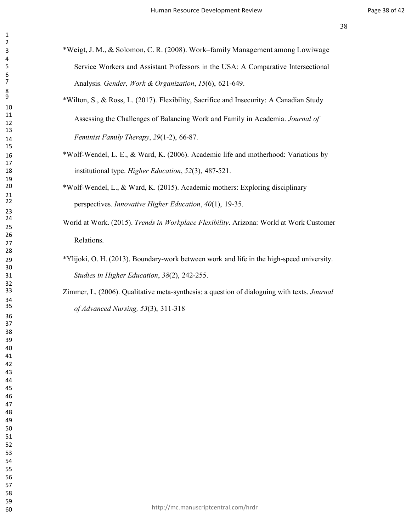- \*Weigt, J. M., & Solomon, C. R. (2008). Work–family Management among Lowiwage Service Workers and Assistant Professors in the USA: A Comparative Intersectional Analysis. *Gender, Work & Organization*, *15*(6), 621-649.
- \*Wilton, S., & Ross, L. (2017). Flexibility, Sacrifice and Insecurity: A Canadian Study Assessing the Challenges of Balancing Work and Family in Academia. *Journal of Feminist Family Therapy*, *29*(1-2), 66-87.
- \*Wolf-Wendel, L. E., & Ward, K. (2006). Academic life and motherhood: Variations by institutional type. *Higher Education*, *52*(3), 487-521.
- \*Wolf-Wendel, L., & Ward, K. (2015). Academic mothers: Exploring disciplinary perspectives. *Innovative Higher Education*, *40*(1), 19-35.
	- World at Work. (2015). *Trends in Workplace Flexibility*. Arizona: World at Work Customer Relations.
- \*Ylijoki, O. H. (2013). Boundary-work between work and life in the high-speed university. *Studies in Higher Education*, *38*(2), 242-255.
	- Zimmer, L. (2006). Qualitative meta‐synthesis: a question of dialoguing with texts. *Journal of Advanced Nursing, 53*(3), 311-318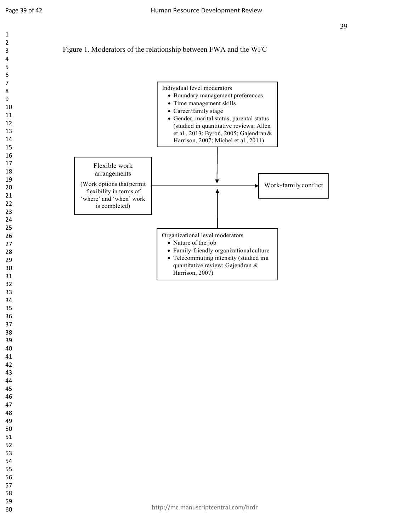

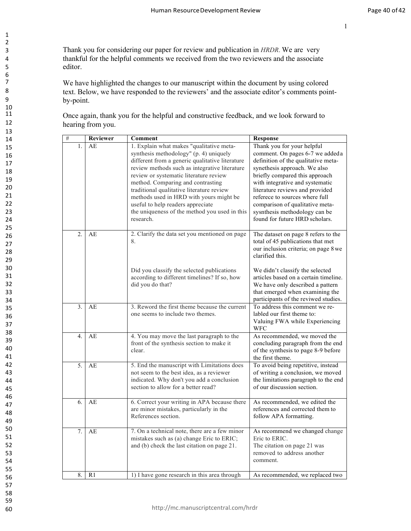3 Thank you for considering our paper for review and publication in *HRDR*. We are very 4 thankful for the helpful comments we received from the two reviewers and the associate 5 editor.

1 2

6<br>7

 $\frac{10}{11}$ 

We have highlighted the changes to our manuscript within the document by using colored 8 text. Below, we have responded to the reviewers' and the associate editor's comments point-<br>by-noint by-point.

11 Once again, thank you for the helpful and constructive feedback, and we look forward to hearing from you. hearing from you.

| #                | Reviewer       | Comment                                                                                                                                                                                                                                                                                                                                                                                                                                                          | <b>Response</b>                                                                                                                                                                                                                                                                                                                                                                       |
|------------------|----------------|------------------------------------------------------------------------------------------------------------------------------------------------------------------------------------------------------------------------------------------------------------------------------------------------------------------------------------------------------------------------------------------------------------------------------------------------------------------|---------------------------------------------------------------------------------------------------------------------------------------------------------------------------------------------------------------------------------------------------------------------------------------------------------------------------------------------------------------------------------------|
| 1.               | AE             | 1. Explain what makes "qualitative meta-<br>synthesis methodology" (p. 4) uniquely<br>different from a generic qualitative literature<br>review methods such as integrative literature<br>review or systematic literature review<br>method. Comparing and contrasting<br>traditional qualitative literature review<br>methods used in HRD with yours might be<br>useful to help readers appreciate<br>the uniqueness of the method you used in this<br>research. | Thank you for your helpful<br>comment. On pages 6-7 we added a<br>definition of the qualitative meta-<br>synethesis approach. We also<br>briefly compared this approach<br>with integrative and systematic<br>literature reviews and provided<br>referece to sources where full<br>comparison of qualitative meta-<br>sysnthesis methodology can be<br>found for future HRD scholars. |
| $\overline{2}$ . | AE             | 2. Clarify the data set you mentioned on page<br>8.<br>Did you classify the selected publications<br>according to different timelines? If so, how<br>did you do that?                                                                                                                                                                                                                                                                                            | The dataset on page 8 refers to the<br>total of 45 publications that met<br>our inclusion criteria; on page 8 we<br>clarified this.<br>We didn't classify the selected<br>articles based on a certain timeline.<br>We have only described a pattern<br>that emerged when examining the<br>participants of the reviwed studies.                                                        |
| 3.               | AE             | 3. Reword the first theme because the current<br>one seems to include two themes.                                                                                                                                                                                                                                                                                                                                                                                | To address this comment we re-<br>labled our first theme to:<br>Valuing FWA while Experiencing<br>WFC                                                                                                                                                                                                                                                                                 |
| 4.               | AE             | 4. You may move the last paragraph to the<br>front of the synthesis section to make it<br>clear.                                                                                                                                                                                                                                                                                                                                                                 | As recommended, we moved the<br>concluding paragraph from the end<br>of the synthesis to page 8-9 before<br>the first theme.                                                                                                                                                                                                                                                          |
| 5.               | AE             | 5. End the manuscript with Limitations does<br>not seem to the best idea, as a reviewer<br>indicated. Why don't you add a conclusion<br>section to allow for a better read?                                                                                                                                                                                                                                                                                      | To avoid being repetitive, instead<br>of writing a conclusion, we moved<br>the limitations paragraph to the end<br>of our discussion section.                                                                                                                                                                                                                                         |
| 6.               | AE             | 6. Correct your writing in APA because there<br>are minor mistakes, particularly in the<br>References section.                                                                                                                                                                                                                                                                                                                                                   | As recommended, we edited the<br>references and corrected them to<br>follow APA formatting.                                                                                                                                                                                                                                                                                           |
| 7.               | AE             | 7. On a technical note, there are a few minor<br>mistakes such as (a) change Eric to ERIC;<br>and (b) check the last citation on page 21.                                                                                                                                                                                                                                                                                                                        | As recommend we changed change<br>Eric to ERIC.<br>The citation on page 21 was<br>removed to address another<br>comment.                                                                                                                                                                                                                                                              |
| 8.               | R <sub>1</sub> | 1) I have gone research in this area through                                                                                                                                                                                                                                                                                                                                                                                                                     | As recommended, we replaced two                                                                                                                                                                                                                                                                                                                                                       |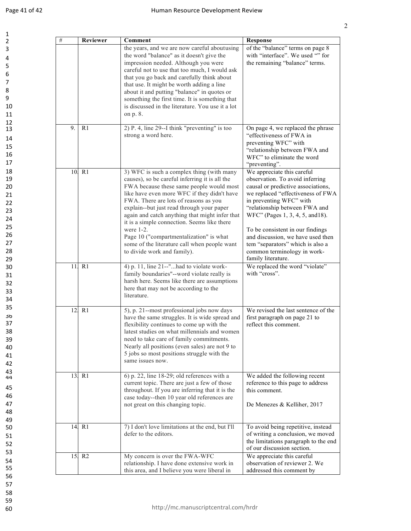| $\#$ | <b>Reviewer</b>    | Comment                                                                                                                                                                                                                                                                                                                                                                                                                                                                                                                 | Response                                                                                                                                                                                                                                                                                                                                                                                                   |
|------|--------------------|-------------------------------------------------------------------------------------------------------------------------------------------------------------------------------------------------------------------------------------------------------------------------------------------------------------------------------------------------------------------------------------------------------------------------------------------------------------------------------------------------------------------------|------------------------------------------------------------------------------------------------------------------------------------------------------------------------------------------------------------------------------------------------------------------------------------------------------------------------------------------------------------------------------------------------------------|
|      |                    | the years, and we are now careful aboutusing<br>the word "balance" as it doesn't give the<br>impression needed. Although you were<br>careful not to use that too much, I would ask<br>that you go back and carefully think about<br>that use. It might be worth adding a line<br>about it and putting "balance" in quotes or<br>something the first time. It is something that<br>is discussed in the literature. You use it a lot<br>on p. 8.                                                                          | of the "balance" terms on page 8<br>with "interface". We used "" for<br>the remaining "balance" terms.                                                                                                                                                                                                                                                                                                     |
| 9.   | R <sub>1</sub>     | 2) P. 4, line 29--I think "preventing" is too<br>strong a word here.                                                                                                                                                                                                                                                                                                                                                                                                                                                    | On page 4, we replaced the phrase<br>"effectiveness of FWA in<br>preventing WFC" with<br>"relationship between FWA and<br>WFC" to eliminate the word<br>"preventing".                                                                                                                                                                                                                                      |
|      | 10. R1             | 3) WFC is such a complex thing (with many<br>causes), so be careful inferring it is all the<br>FWA because these same people would most<br>like have even more WFC if they didn't have<br>FWA. There are lots of reasons as you<br>explain--but just read through your paper<br>again and catch anything that might infer that<br>it is a simple connection. Seems like there<br>were $1-2$ .<br>Page 10 ("compartmentalization" is what<br>some of the literature call when people want<br>to divide work and family). | We appreciate this careful<br>observation. To avoid inferring<br>causal or predictive associations,<br>we replaced "effectiveness of FWA<br>in preventing WFC" with<br>"relationship between FWA and<br>WFC" (Pages 1, 3, 4, 5, and 18).<br>To be consistent in our findings<br>and discussion, we have used then<br>tem "separators" which is also a<br>common terminology in work-<br>family literature. |
|      | 11. R1             | 4) p. 11, line 21--"had to violate work-<br>family boundaries"--word violate really is<br>harsh here. Seems like there are assumptions<br>here that may not be according to the<br>literature.                                                                                                                                                                                                                                                                                                                          | We replaced the word "violate"<br>with "cross".                                                                                                                                                                                                                                                                                                                                                            |
| 12.  | R <sub>1</sub>     | 5), p. 21--most professional jobs now days<br>have the same struggles. It is wide spread and<br>flexibility continues to come up with the<br>latest studies on what millennials and women<br>need to take care of family commitments.<br>Nearly all positions (even sales) are not 9 to<br>5 jobs so most positions struggle with the<br>same issues now.                                                                                                                                                               | We revised the last sentence of the<br>first paragraph on page 21 to<br>reflect this comment.                                                                                                                                                                                                                                                                                                              |
|      | 13. R1             | 6) p. 22, line 18-29; old references with a<br>current topic. There are just a few of those<br>throughout. If you are inferring that it is the<br>case today--then 10 year old references are<br>not great on this changing topic.                                                                                                                                                                                                                                                                                      | We added the following recent<br>reference to this page to address<br>this comment.<br>De Menezes & Kelliher, 2017                                                                                                                                                                                                                                                                                         |
|      | 14. R1             | 7) I don't love limitations at the end, but I'll<br>defer to the editors.                                                                                                                                                                                                                                                                                                                                                                                                                                               | To avoid being repetitive, instead<br>of writing a conclusion, we moved<br>the limitations paragraph to the end<br>of our discussion section.                                                                                                                                                                                                                                                              |
|      | 15. R <sub>2</sub> | My concern is over the FWA-WFC<br>relationship. I have done extensive work in<br>this area, and I believe you were liberal in                                                                                                                                                                                                                                                                                                                                                                                           | We appreciate this careful<br>observation of reviewer 2. We<br>addressed this comment by                                                                                                                                                                                                                                                                                                                   |

59

54